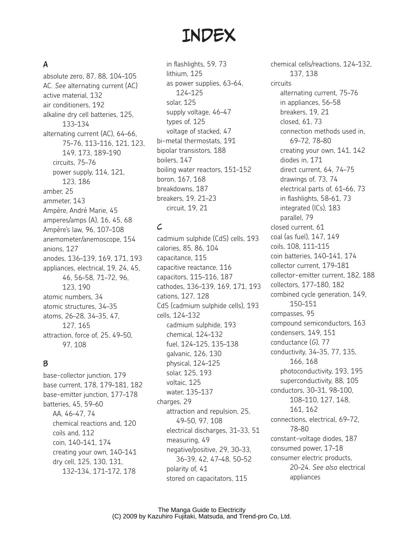# **INDEX**

## A

absolute zero, 87, 88, 104–105 AC. *See* alternating current (AC) active material, 132 air conditioners, 192 alkaline dry cell batteries, 125, 133–134 alternating current (AC), 64–66, 75–76, 113–116, 121, 123, 149, 173, 189–190 circuits, 75–76 power supply, 114, 121, 123, 186 amber, 25 ammeter, 143 Ampère, André Marie, 45 amperes/amps (A), 16, 45, 68 Ampère's law, 96, 107–108 anemometer/anemoscope, 154 anions, 127 anodes, 136–139, 169, 171, 193 appliances, electrical, 19, 24, 45, 46, 56–58, 71–72, 96, 123, 190 atomic numbers, 34 atomic structures, 34–35 atoms, 26–28, 34–35, 47, 127, 165 attraction, force of, 25, 49–50, 97, 108

#### B

base-collector junction, 179 base current, 178, 179–181, 182 base-emitter junction, 177–178 batteries, 45, 59–60 AA, 46–47, 74 chemical reactions and, 120 coils and, 112 coin, 140–141, 174 creating your own, 140–141 dry cell, 125, 130, 131, 132–134, 171–172, 178

in flashlights, 59, 73 lithium, 125 as power supplies, 63–64, 124–125 solar, 125 supply voltage, 46–47 types of, 125 voltage of stacked, 47 bi-metal thermostats, 191 bipolar transistors, 188 boilers, 147 boiling water reactors, 151–152 boron, 167, 168 breakdowns, 187 breakers, 19, 21–23 circuit, 19, 21

## $\mathcal{L}$

cadmium sulphide (CdS) cells, 193 calories, 85, 86, 104 capacitance, 115 capacitive reactance, 116 capacitors, 115–116, 187 cathodes, 136–139, 169, 171, 193 cations, 127, 128 CdS (cadmium sulphide cells), 193 cells, 124–132 cadmium sulphide, 193 chemical, 124–132 fuel, 124–125, 135–138 galvanic, 126, 130 physical, 124–125 solar, 125, 193 voltaic, 125 water, 135–137 charges, 29 attraction and repulsion, 25, 49–50, 97, 108 electrical discharges, 31–33, 51 measuring, 49 negative/positive, 29, 30–33, 36–39, 42, 47–48, 50–52 polarity of, 41 stored on capacitators, 115

chemical cells/reactions, 124–132, 137, 138 circuits alternating current, 75–76 in appliances, 56–58 breakers, 19, 21 closed, 61, 73 connection methods used in, 69–72, 78–80 creating your own, 141, 142 diodes in, 171 direct current, 64, 74–75 drawings of, 73, 74 electrical parts of, 61–66, 73 in flashlights, 58–61, 73 integrated (ICs), 183 parallel, 79 closed current, 61 coal (as fuel), 147, 149 coils, 108, 111–115 coin batteries, 140–141, 174 collector current, 179–181 collector-emitter current, 182, 188 collectors, 177–180, 182 combined cycle generation, 149, 150–151 compasses, 95 compound semiconductors, 163 condensers, 149, 151 conductance (*G*), 77 conductivity, 34–35, 77, 135, 166, 168 photoconductivity, 193, 195 superconductivity, 88, 105 conductors, 30–31, 98–100, 108–110, 127, 148, 161, 162 connections, electrical, 69–72, 78–80 constant-voltage diodes, 187 consumed power, 17–18 consumer electric products, 20–24. *See also* electrical appliances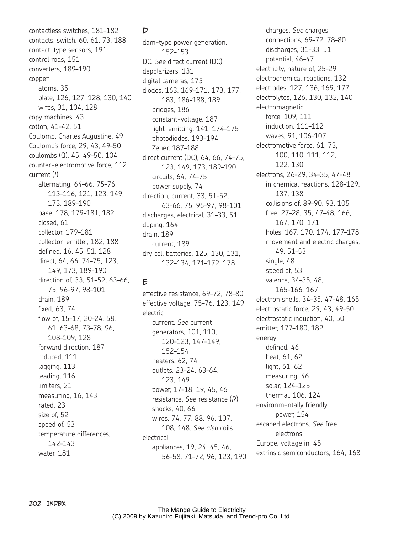contactless switches, 181–182 contacts, switch, 60, 61, 73, 188 contact-type sensors, 191 control rods, 151 converters, 189–190 copper atoms, 35 plate, 126, 127, 128, 130, 140 wires, 31, 104, 128 copy machines, 43 cotton, 41–42, 51 Coulomb, Charles Augustine, 49 Coulomb's force, 29, 43, 49–50 coulombs (Q), 45, 49–50, 104 counter-electromotive force, 112 current (*I*) alternating, 64–66, 75–76, 113–116, 121, 123, 149, 173, 189–190 base, 178, 179–181, 182 closed, 61 collector, 179–181 collector-emitter, 182, 188 defined, 16, 45, 51, 128 direct, 64, 66, 74–75, 123, 149, 173, 189–190 direction of, 33, 51–52, 63–66, 75, 96–97, 98–101 drain, 189 fixed, 63, 74 flow of, 15–17, 20–24, 58, 61, 63–68, 73–78, 96, 108–109, 128 forward direction, 187 induced, 111 lagging, 113 leading, 116 limiters, 21 measuring, 16, 143 rated, 23 size of, 52 speed of, 53 temperature differences, 142–143 water, 181

## D

dam-type power generation, 152–153 DC. *See* direct current (DC) depolarizers, 131 digital cameras, 175 diodes, 163, 169–171, 173, 177, 183, 186–188, 189 bridges, 186 constant-voltage, 187 light-emitting, 141, 174–175 photodiodes, 193–194 Zener, 187–188 direct current (DC), 64, 66, 74–75, 123, 149, 173, 189–190 circuits, 64, 74–75 power supply, 74 direction, current, 33, 51–52, 63–66, 75, 96–97, 98–101 discharges, electrical, 31–33, 51 doping, 164 drain, 189 current, 189 dry cell batteries, 125, 130, 131, 132–134, 171–172, 178

# E

effective resistance, 69–72, 78–80 effective voltage, 75–76, 123, 149 electric current. *See* current generators, 101, 110, 120–123, 147–149, 152–154 heaters, 62, 74 outlets, 23–24, 63–64, 123, 149 power, 17–18, 19, 45, 46 resistance. *See* resistance (*R*) shocks, 40, 66 wires, 74, 77, 88, 96, 107, 108, 148. *See also* coils electrical appliances, 19, 24, 45, 46, 56–58, 71–72, 96, 123, 190

charges. *See* charges connections, 69–72, 78–80 discharges, 31–33, 51 potential, 46–47 electricity, nature of, 25–29 electrochemical reactions, 132 electrodes, 127, 136, 169, 177 electrolytes, 126, 130, 132, 140 electromagnetic force, 109, 111 induction, 111–112 waves, 91, 106–107 electromotive force, 61, 73, 100, 110, 111, 112, 122, 130 electrons, 26–29, 34–35, 47–48 in chemical reactions, 128–129, 137, 138 collisions of, 89–90, 93, 105 free, 27–28, 35, 47–48, 166, 167, 170, 171 holes, 167, 170, 174, 177–178 movement and electric charges, 49, 51–53 single, 48 speed of, 53 valence, 34–35, 48, 165–166, 167 electron shells, 34–35, 47–48, 165 electrostatic force, 29, 43, 49–50 electrostatic induction, 40, 50 emitter, 177–180, 182 energy defined, 46 heat, 61, 62 light, 61, 62 measuring, 46 solar, 124–125 thermal, 106, 124 environmentally friendly power, 154 escaped electrons. *See* free electrons Europe, voltage in, 45 extrinsic semiconductors, 164, 168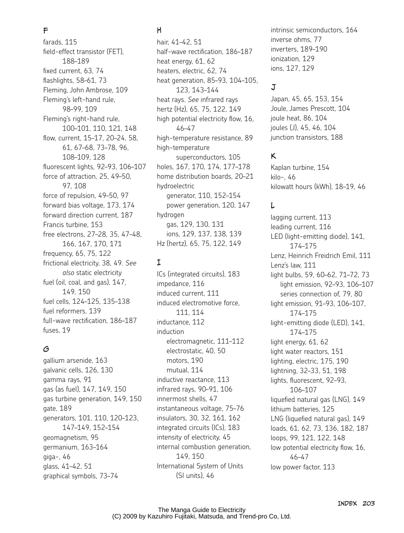### F

farads, 115 field-effect transistor (FET), 188–189 fixed current, 63, 74 flashlights, 58–61, 73 Fleming, John Ambrose, 109 Fleming's left-hand rule, 98–99, 109 Fleming's right-hand rule, 100–101, 110, 121, 148 flow, current, 15–17, 20–24, 58, 61, 67–68, 73–78, 96, 108–109, 128 fluorescent lights, 92–93, 106–107 force of attraction, 25, 49-50. 97, 108 force of repulsion, 49–50, 97 forward bias voltage, 173, 174 forward direction current, 187 Francis turbine, 153 free electrons, 27–28, 35, 47–48, 166, 167, 170, 171 frequency, 65, 75, 122 frictional electricity, 38, 49. *See also* static electricity fuel (oil, coal, and gas), 147, 149, 150 fuel cells, 124–125, 135–138 fuel reformers, 139 full-wave rectification, 186–187 fuses, 19

#### G

gallium arsenide, 163 galvanic cells, 126, 130 gamma rays, 91 gas (as fuel), 147, 149, 150 gas turbine generation, 149, 150 gate, 189 generators, 101, 110, 120–123, 147–149, 152–154 geomagnetism, 95 germanium, 163–164 giga-, 46 glass, 41–42, 51 graphical symbols, 73–74

## H

hair, 41–42, 51 half-wave rectification, 186–187 heat energy, 61, 62 heaters, electric, 62, 74 heat generation, 85–93, 104–105, 123, 143–144 heat rays. *See* infrared rays hertz (Hz), 65, 75, 122, 149 high potential electricity flow, 16, 46–47 high-temperature resistance, 89 high-temperature superconductors, 105 holes, 167, 170, 174, 177–178 home distribution boards, 20–21 hydroelectric generator, 110, 152–154 power generation, 120, 147 hydrogen gas, 129, 130, 131 ions, 129, 137, 138, 139 Hz (hertz), 65, 75, 122, 149

## I

ICs (integrated circuits), 183 impedance, 116 induced current, 111 induced electromotive force, 111, 114 inductance, 112 induction electromagnetic, 111–112 electrostatic, 40, 50 motors, 190 mutual, 114 inductive reactance, 113 infrared rays, 90–91, 106 innermost shells, 47 instantaneous voltage, 75–76 insulators, 30, 32, 161, 162 integrated circuits (ICs), 183 intensity of electricity, 45 internal combustion generation, 149, 150 International System of Units (SI units), 46

intrinsic semiconductors, 164 inverse ohms, 77 inverters, 189–190 ionization, 129 ions, 127, 129

# J

Japan, 45, 65, 153, 154 Joule, James Prescott, 104 joule heat, 86, 104 joules (J), 45, 46, 104 junction transistors, 188

## K

Kaplan turbine, 154 kilo-, 46 kilowatt hours (kWh), 18–19, 46

## L

lagging current, 113 leading current, 116 LED (light-emitting diode), 141, 174–175 Lenz, Heinrich Freidrich Emil, 111 Lenz's law, 111 light bulbs, 59, 60–62, 71–72, 73 light emission, 92–93, 106–107 series connection of, 79, 80 light emission, 91–93, 106–107, 174–175 light-emitting diode (LED), 141, 174–175 light energy, 61, 62 light water reactors, 151 lighting, electric, 175, 190 lightning, 32–33, 51, 198 lights, fluorescent, 92–93, 106–107 liquefied natural gas (LNG), 149 lithium batteries, 125 LNG (liquefied natural gas), 149 loads, 61, 62, 73, 136, 182, 187 loops, 99, 121, 122, 148 low potential electricity flow, 16, 46–47 low power factor, 113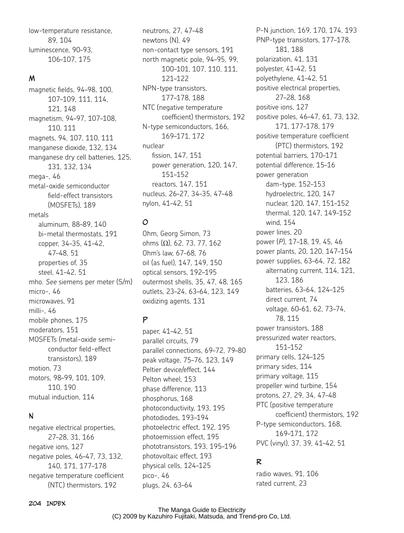low-temperature resistance, 89, 104 luminescence, 90–93, 106–107, 175

#### M

magnetic fields, 94–98, 100, 107–109, 111, 114, 121, 148 magnetism, 94–97, 107–108, 110, 111 magnets, 94, 107, 110, 111 manganese dioxide, 132, 134 manganese dry cell batteries, 125, 131, 132, 134 mega-, 46 metal-oxide semiconductor field-effect transistors (MOSFETs), 189 metals aluminum, 88–89, 140 bi-metal thermostats, 191 copper, 34–35, 41–42, 47–48, 51 properties of, 35 steel, 41–42, 51 mho. *See* siemens per meter (S/m)  $micro-46$ microwaves, 91 milli-, 46 mobile phones, 175 moderators, 151 MOSFETs (metal-oxide semiconductor field-effect transistors), 189 motion, 73 motors, 98–99, 101, 109, 110, 190 mutual induction, 114

#### N

negative electrical properties, 27–28, 31, 166 negative ions, 127 negative poles, 46–47, 73, 132, 140, 171, 177–178 negative temperature coefficient (NTC) thermistors, 192

neutrons, 27, 47–48 newtons (N), 49 non-contact type sensors, 191 north magnetic pole, 94–95, 99, 100–101, 107, 110, 111, 121–122 NPN-type transistors, 177–178, 188 NTC (negative temperature coefficient) thermistors, 192 N-type semiconductors, 166, 169–171, 172 nuclear fission, 147, 151 power generation, 120, 147, 151–152 reactors, 147, 151 nucleus, 26–27, 34–35, 47–48 nylon, 41–42, 51

## O

Ohm, Georg Simon, 73 ohms  $(Ω)$ , 62, 73, 77, 162 Ohm's law, 67–68, 76 oil (as fuel), 147, 149, 150 optical sensors, 192–195 outermost shells, 35, 47, 48, 165 outlets, 23–24, 63–64, 123, 149 oxidizing agents, 131

## P

paper, 41–42, 51 parallel circuits, 79 parallel connections, 69–72, 79–80 peak voltage, 75–76, 123, 149 Peltier device/effect, 144 Pelton wheel, 153 phase difference, 113 phosphorus, 168 photoconductivity, 193, 195 photodiodes, 193–194 photoelectric effect, 192, 195 photoemission effect, 195 phototransistors, 193, 195–196 photovoltaic effect, 193 physical cells, 124–125 pico-, 46 plugs, 24, 63–64

polyester, 41–42, 51 polyethylene, 41–42, 51 positive electrical properties, 27–28, 168 positive ions, 127 positive poles, 46–47, 61, 73, 132, 171, 177–178, 179 positive temperature coefficient (PTC) thermistors, 192 potential barriers, 170–171 potential difference, 15–16 power generation dam-type, 152–153 hydroelectric, 120, 147 nuclear, 120, 147, 151–152 thermal, 120, 147, 149–152 wind, 154 power lines, 20 power (*P*), 17–18, 19, 45, 46 power plants, 20, 120, 147–154 power supplies, 63–64, 72, 182 alternating current, 114, 121, 123, 186 batteries, 63–64, 124–125 direct current, 74 voltage, 60–61, 62, 73–74, 78, 115 power transistors, 188 pressurized water reactors, 151–152 primary cells, 124–125 primary sides, 114 primary voltage, 115 propeller wind turbine, 154 protons, 27, 29, 34, 47–48 PTC (positive temperature coefficient) thermistors, 192 P-type semiconductors, 168, 169–171, 172 PVC (vinyl), 37, 39, 41–42, 51

P-N junction, 169, 170, 174, 193 PNP-type transistors, 177–178,

181, 188 polarization, 41, 131

## R

radio waves, 91, 106 rated current, 23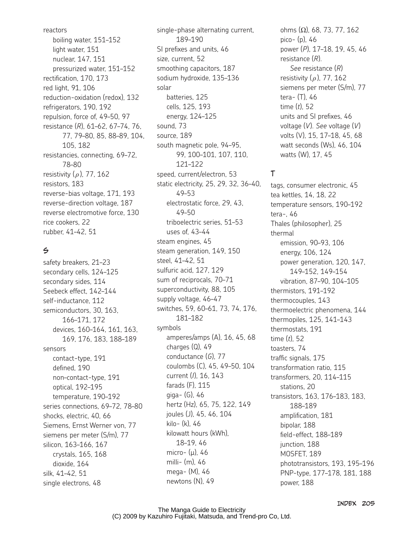reactors boiling water, 151–152 light water, 151 nuclear, 147, 151 pressurized water, 151–152 rectification, 170, 173 red light, 91, 106 reduction-oxidation (redox), 132 refrigerators, 190, 192 repulsion, force of, 49–50, 97 resistance (*R*), 61–62, 67–74, 76, 77, 79–80, 85, 88–89, 104, 105, 182 resistancies, connecting, 69–72, 78–80 resistivity ( *ȡ*), 77, 162 resistors, 183 reverse-bias voltage, 171, 193 reverse-direction voltage, 187 reverse electromotive force, 130 rice cookers, 22 rubber, 41–42, 51

#### $\leq$

safety breakers, 21–23 secondary cells, 124–125 secondary sides, 114 Seebeck effect, 142–144 self-inductance, 112 semiconductors, 30, 163, 166–171, 172 devices, 160–164, 161, 163, 169, 176, 183, 188–189 sensors contact-type, 191 defined, 190 non–contact-type, 191 optical, 192–195 temperature, 190–192 series connections, 69–72, 78–80 shocks, electric, 40, 66 Siemens, Ernst Werner von, 77 siemens per meter (S/m), 77 silicon, 163–166, 167 crystals, 165, 168 dioxide, 164 silk, 41–42, 51 single electrons, 48

single-phase alternating current, 189–190 SI prefixes and units, 46 size, current, 52 smoothing capacitors, 187 sodium hydroxide, 135–136 solar batteries, 125 cells, 125, 193 energy, 124–125 sound, 73 source, 189 south magnetic pole, 94–95, 99, 100–101, 107, 110, 121–122 speed, current/electron, 53 static electricity, 25, 29, 32, 36–40, 49–53 electrostatic force, 29, 43, 49–50 triboelectric series, 51–53 uses of, 43–44 steam engines, 45 steam generation, 149, 150 steel, 41–42, 51 sulfuric acid, 127, 129 sum of reciprocals, 70–71 superconductivity, 88, 105 supply voltage, 46–47 switches, 59, 60–61, 73, 74, 176, 181–182 symbols amperes/amps (A), 16, 45, 68 charges (Q), 49 conductance (*G*), 77 coulombs (C), 45, 49–50, 104 current (*I*), 16, 143 farads (F), 115 giga- (G), 46 hertz (Hz), 65, 75, 122, 149 joules (J), 45, 46, 104 kilo- (k), 46 kilowatt hours (kWh), 18–19, 46 micro- $(\mu)$ , 46 milli- (m), 46 mega- (M), 46 newtons (N), 49

ohms  $(Ω)$ , 68, 73, 77, 162 pico- (p), 46 power (*P*), 17–18, 19, 45, 46 resistance (*R*). *See* resistance (*R*) resistivity ( *ȡ*), 77, 162 siemens per meter (S/m), 77 tera- (T), 46 time (*t*), 52 units and SI prefixes, 46 voltage (*V*). *See* voltage (*V*) volts (V), 15, 17–18, 45, 68 watt seconds (Ws), 46, 104 watts (W), 17, 45

## T

tags, consumer electronic, 45 tea kettles, 14, 18, 22 temperature sensors, 190–192 tera-, 46 Thales (philosopher), 25 thermal emission, 90–93, 106 energy, 106, 124 power generation, 120, 147, 149–152, 149–154 vibration, 87–90, 104–105 thermistors, 191–192 thermocouples, 143 thermoelectric phenomena, 144 thermopiles, 125, 141–143 thermostats, 191 time (*t*), 52 toasters, 74 traffic signals, 175 transformation ratio, 115 transformers, 20, 114–115 stations, 20 transistors, 163, 176–183, 183, 188–189 amplification, 181 bipolar, 188 field-effect, 188–189 junction, 188 MOSFET, 189 phototransistors, 193, 195–196 PNP-type, 177–178, 181, 188 power, 188